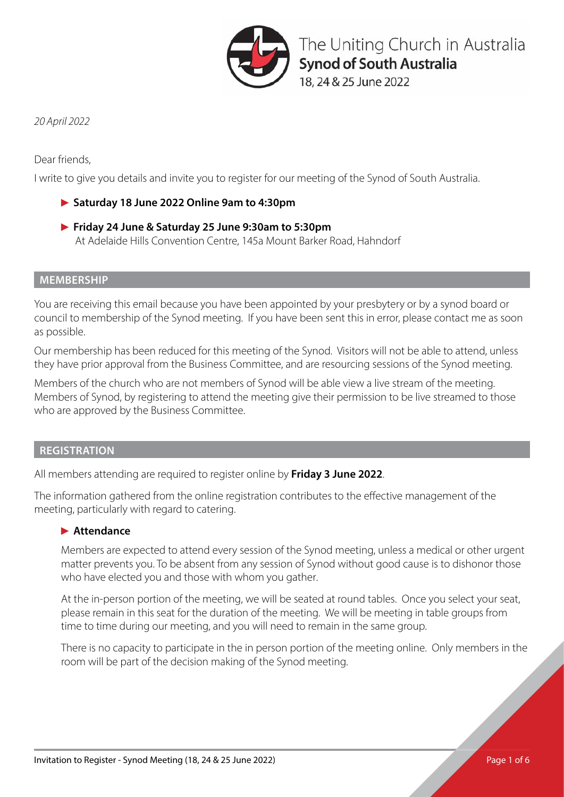

The Uniting Church in Australia **Synod of South Australia** 

18, 24 & 25 June 2022

*20 April 2022*

Dear friends,

I write to give you details and invite you to register for our meeting of the Synod of South Australia.

# **Saturday 18 June 2022 Online 9am to 4:30pm**

 **Friday 24 June & Saturday 25 June 9:30am to 5:30pm** At Adelaide Hills Convention Centre, 145a Mount Barker Road, Hahndorf

# **MEMBERSHIP**

You are receiving this email because you have been appointed by your presbytery or by a synod board or council to membership of the Synod meeting. If you have been sent this in error, please contact me as soon as possible.

Our membership has been reduced for this meeting of the Synod. Visitors will not be able to attend, unless they have prior approval from the Business Committee, and are resourcing sessions of the Synod meeting.

Members of the church who are not members of Synod will be able view a live stream of the meeting. Members of Synod, by registering to attend the meeting give their permission to be live streamed to those who are approved by the Business Committee.

# **REGISTRATION**

All members attending are required to register online by **Friday 3 June 2022**.

The information gathered from the online registration contributes to the effective management of the meeting, particularly with regard to catering.

# **Attendance**

Members are expected to attend every session of the Synod meeting, unless a medical or other urgent matter prevents you. To be absent from any session of Synod without good cause is to dishonor those who have elected you and those with whom you gather.

At the in-person portion of the meeting, we will be seated at round tables. Once you select your seat, please remain in this seat for the duration of the meeting. We will be meeting in table groups from time to time during our meeting, and you will need to remain in the same group.

There is no capacity to participate in the in person portion of the meeting online. Only members in the room will be part of the decision making of the Synod meeting.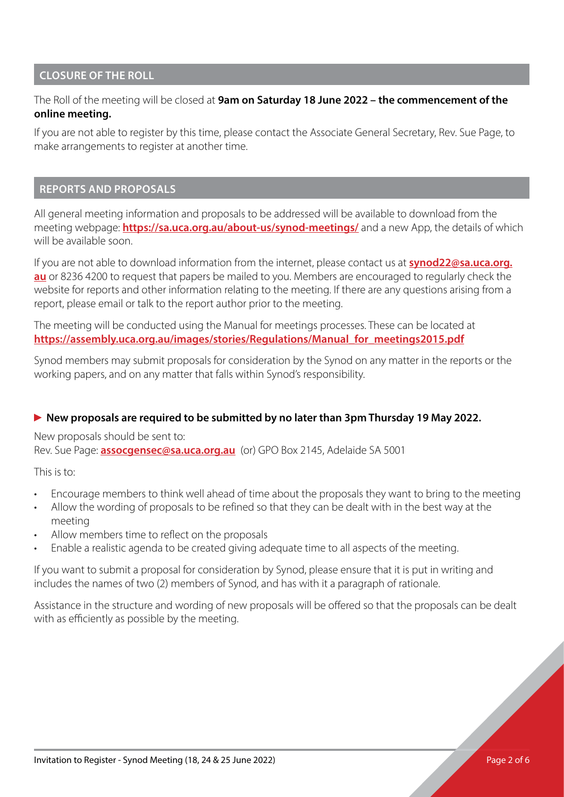## **CLOSURE OF THE ROLL**

## The Roll of the meeting will be closed at **9am on Saturday 18 June 2022 – the commencement of the online meeting.**

If you are not able to register by this time, please contact the Associate General Secretary, Rev. Sue Page, to make arrangements to register at another time.

#### **REPORTS AND PROPOSALS**

All general meeting information and proposals to be addressed will be available to download from the meeting webpage: **<https://sa.uca.org.au/about-us/synod-meetings/>** and a new App, the details of which will be available soon.

If you are not able to download information from the internet, please contact us at **[synod22@sa.uca.org.](mailto:synod22%40sa.uca.org.au?subject=) [au](mailto:synod22%40sa.uca.org.au?subject=)** or 8236 4200 to request that papers be mailed to you. Members are encouraged to regularly check the website for reports and other information relating to the meeting. If there are any questions arising from a report, please email or talk to the report author prior to the meeting.

The meeting will be conducted using the Manual for meetings processes. These can be located at **[https://assembly.uca.org.au/images/stories/Regulations/Manual\\_for\\_meetings2015.pdf](https://assembly.uca.org.au/images/stories/Regulations/Manual_for_meetings2015.pdf)**

Synod members may submit proposals for consideration by the Synod on any matter in the reports or the working papers, and on any matter that falls within Synod's responsibility.

## **New proposals are required to be submitted by no later than 3pm Thursday 19 May 2022.**

New proposals should be sent to:

Rev. Sue Page: **[assocgensec@sa.uca.org.au](mailto:assocgensec%40sa.uca.org.au?subject=)** (or) GPO Box 2145, Adelaide SA 5001

This is to:

- Encourage members to think well ahead of time about the proposals they want to bring to the meeting
- Allow the wording of proposals to be refined so that they can be dealt with in the best way at the meeting
- Allow members time to reflect on the proposals
- Enable a realistic agenda to be created giving adequate time to all aspects of the meeting.

If you want to submit a proposal for consideration by Synod, please ensure that it is put in writing and includes the names of two (2) members of Synod, and has with it a paragraph of rationale.

Assistance in the structure and wording of new proposals will be offered so that the proposals can be dealt with as efficiently as possible by the meeting.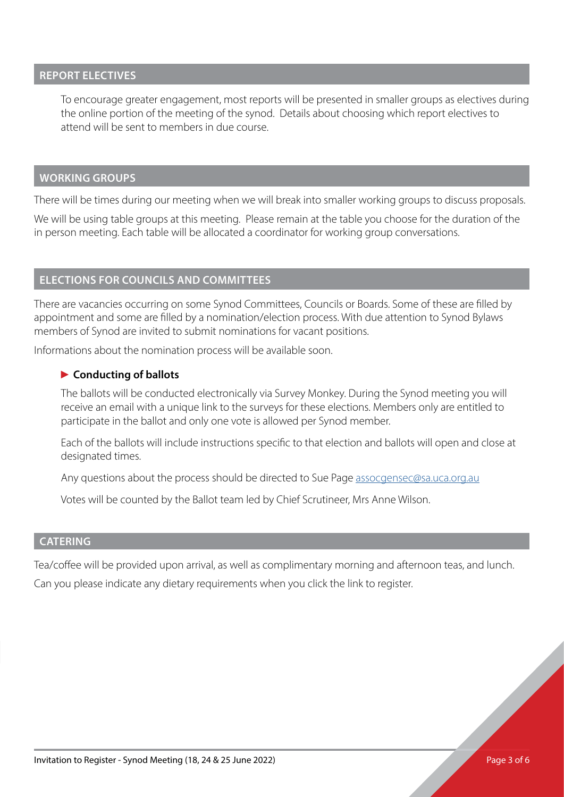#### **REPORT ELECTIVES**

To encourage greater engagement, most reports will be presented in smaller groups as electives during the online portion of the meeting of the synod. Details about choosing which report electives to attend will be sent to members in due course.

#### **WORKING GROUPS**

There will be times during our meeting when we will break into smaller working groups to discuss proposals.

We will be using table groups at this meeting. Please remain at the table you choose for the duration of the in person meeting. Each table will be allocated a coordinator for working group conversations.

#### **ELECTIONS FOR COUNCILS AND COMMITTEES**

There are vacancies occurring on some Synod Committees, Councils or Boards. Some of these are filled by appointment and some are filled by a nomination/election process. With due attention to Synod Bylaws members of Synod are invited to submit nominations for vacant positions.

Informations about the nomination process will be available soon.

#### **Conducting of ballots**

The ballots will be conducted electronically via Survey Monkey. During the Synod meeting you will receive an email with a unique link to the surveys for these elections. Members only are entitled to participate in the ballot and only one vote is allowed per Synod member.

Each of the ballots will include instructions specific to that election and ballots will open and close at designated times.

Any questions about the process should be directed to Sue Page [assocgensec@sa.uca.org.au](mailto:assocgensec%40sa.uca.org.au?subject=)

Votes will be counted by the Ballot team led by Chief Scrutineer, Mrs Anne Wilson.

#### **CATERING**

Tea/coffee will be provided upon arrival, as well as complimentary morning and afternoon teas, and lunch.

Can you please indicate any dietary requirements when you click the link to register.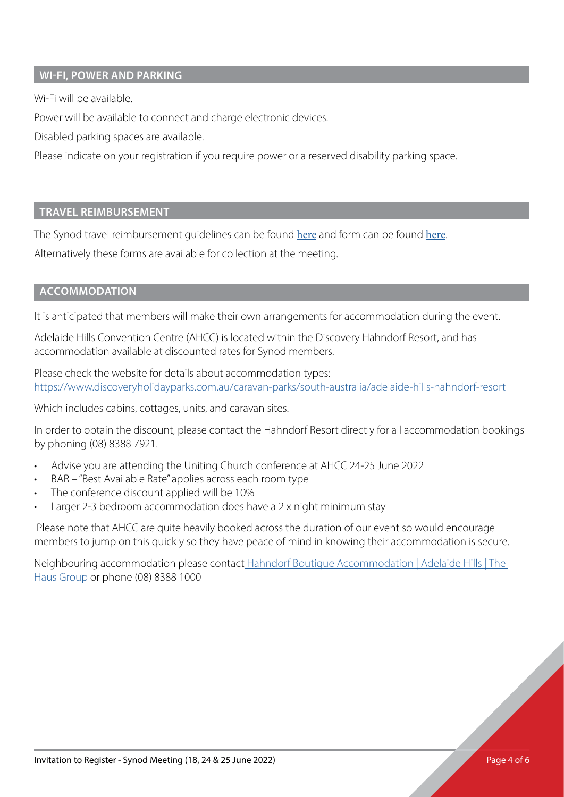## **WI-FI, POWER AND PARKING**

Wi-Fi will be available.

Power will be available to connect and charge electronic devices.

Disabled parking spaces are available.

Please indicate on your registration if you require power or a reserved disability parking space.

## **TRAVEL REIMBURSEMENT**

The Synod travel reimbursement guidelines can be found [here](https://sa.uca.org.au/documents/presbytery-and-synod-meetings/2020/Synod-Travel-Guidelines.pdf) and form can be found [here](https://sa.uca.org.au/documents/presbytery-and-synod-meetings/2020/Synod-Travel-Reimbursement-Form.pdf).

Alternatively these forms are available for collection at the meeting.

## **ACCOMMODATION**

It is anticipated that members will make their own arrangements for accommodation during the event.

Adelaide Hills Convention Centre (AHCC) is located within the Discovery Hahndorf Resort, and has accommodation available at discounted rates for Synod members.

Please check the website for details about accommodation types: [https://www.discoveryholidayparks.com.au/caravan-parks/south-australia/adelaide-hills-hahndorf-resort](https://www.discoveryholidayparks.com.au/caravan-parks/south-australia/adelaide-hills-hahndorf-resor)

Which includes cabins, cottages, units, and caravan sites.

In order to obtain the discount, please contact the Hahndorf Resort directly for all accommodation bookings by phoning (08) 8388 7921.

- Advise you are attending the Uniting Church conference at AHCC 24-25 June 2022
- BAR "Best Available Rate" applies across each room type
- The conference discount applied will be 10%
- Larger 2-3 bedroom accommodation does have a 2 x night minimum stay

 Please note that AHCC are quite heavily booked across the duration of our event so would encourage members to jump on this quickly so they have peace of mind in knowing their accommodation is secure.

Neighbouring accommodation please contac[t Hahndorf Boutique Accommodation | Adelaide Hills | The](http:// Hahndorf Boutique Accommodation | Adelaide Hills | The Haus Group)  [Haus Group](http:// Hahndorf Boutique Accommodation | Adelaide Hills | The Haus Group) or phone (08) 8388 1000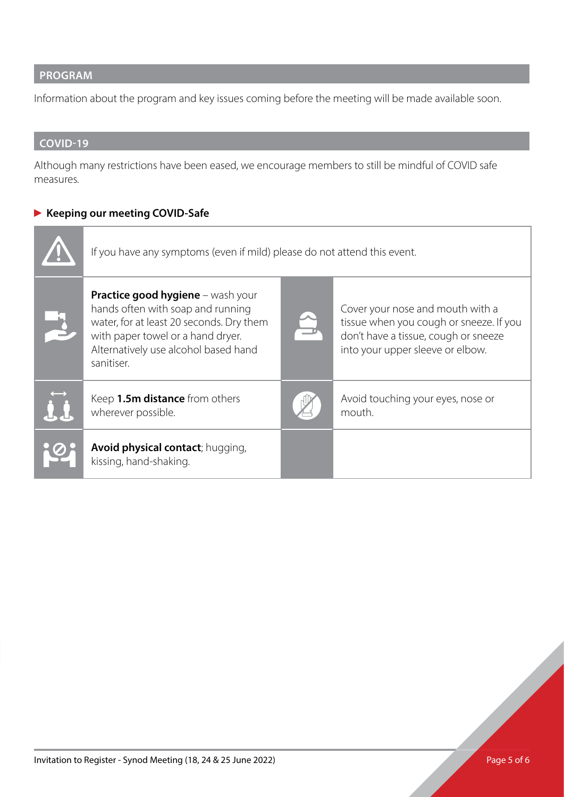# **PROGRAM**

Information about the program and key issues coming before the meeting will be made available soon.

# **COVID-19**

Although many restrictions have been eased, we encourage members to still be mindful of COVID safe measures.

# **Keeping our meeting COVID-Safe**

| If you have any symptoms (even if mild) please do not attend this event.                                                                                                                                      |  |                                                                                                                                                         |
|---------------------------------------------------------------------------------------------------------------------------------------------------------------------------------------------------------------|--|---------------------------------------------------------------------------------------------------------------------------------------------------------|
| Practice good hygiene - wash your<br>hands often with soap and running<br>water, for at least 20 seconds. Dry them<br>with paper towel or a hand dryer.<br>Alternatively use alcohol based hand<br>sanitiser. |  | Cover your nose and mouth with a<br>tissue when you cough or sneeze. If you<br>don't have a tissue, cough or sneeze<br>into your upper sleeve or elbow. |
| Keep 1.5m distance from others<br>wherever possible.                                                                                                                                                          |  | Avoid touching your eyes, nose or<br>mouth.                                                                                                             |
| Avoid physical contact; hugging,<br>kissing, hand-shaking.                                                                                                                                                    |  |                                                                                                                                                         |